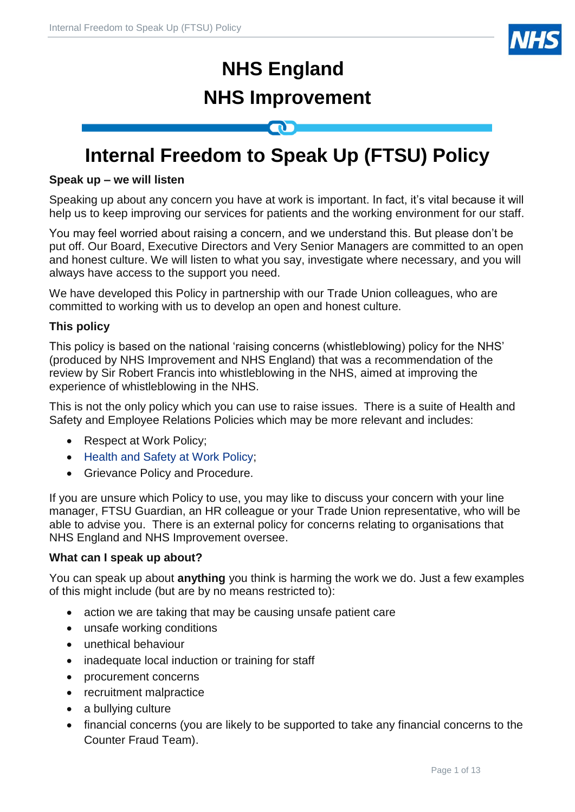

# **NHS England NHS Improvement**

# **Internal Freedom to Speak Up (FTSU) Policy**

# **Speak up – we will listen**

Speaking up about any concern you have at work is important. In fact, it's vital because it will help us to keep improving our services for patients and the working environment for our staff.

You may feel worried about raising a concern, and we understand this. But please don't be put off. Our Board, Executive Directors and Very Senior Managers are committed to an open and honest culture. We will listen to what you say, investigate where necessary, and you will always have access to the support you need.

We have developed this Policy in partnership with our Trade Union colleagues, who are committed to working with us to develop an open and honest culture.

# **This policy**

This policy is based on the national 'raising concerns (whistleblowing) policy for the NHS' (produced by NHS Improvement and NHS England) that was a recommendation of the review by Sir Robert Francis into whistleblowing in the NHS, aimed at improving the experience of whistleblowing in the NHS.

This is not the only policy which you can use to raise issues. There is a suite of Health and Safety and Employee Relations Policies which may be more relevant and includes:

- Respect at Work Policy;
- [Health and Safety at Work Policy;](https://nhsengland.sharepoint.com/sites/thehub/Policy%20library/Health%20and%20Safety%20Policy.pdf)
- Grievance Policy and Procedure.

If you are unsure which Policy to use, you may like to discuss your concern with your line manager, FTSU Guardian, an HR colleague or your Trade Union representative, who will be able to advise you. There is an external policy for concerns relating to organisations that NHS England and NHS Improvement oversee.

# **What can I speak up about?**

You can speak up about **anything** you think is harming the work we do. Just a few examples of this might include (but are by no means restricted to):

- action we are taking that may be causing unsafe patient care
- unsafe working conditions
- unethical behaviour
- inadequate local induction or training for staff
- procurement concerns
- recruitment malpractice
- a bullying culture
- financial concerns (you are likely to be supported to take any financial concerns to the Counter Fraud Team).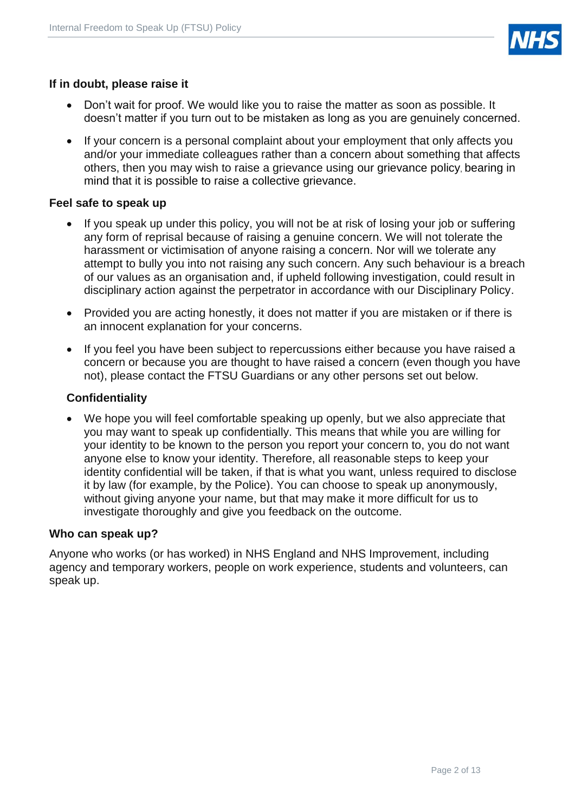

# **If in doubt, please raise it**

- Don't wait for proof. We would like you to raise the matter as soon as possible. It doesn't matter if you turn out to be mistaken as long as you are genuinely concerned.
- If your concern is a personal complaint about your employment that only affects you and/or your immediate colleagues rather than a concern about something that affects others, then you may wish to raise a grievance using [our grievance policy](https://intranet.improvement.nhs.uk/NHSIUseful/Documents/Policies/201683%20-%20Grievance%20Policy%20v0.4.pdf), bearing in mind that it is possible to raise a collective grievance.

#### **Feel safe to speak up**

- If you speak up under this policy, you will not be at risk of losing your job or suffering any form of reprisal because of raising a genuine concern. We will not tolerate the harassment or victimisation of anyone raising a concern. Nor will we tolerate any attempt to bully you into not raising any such concern. Any such behaviour is a breach of our values as an organisation and, if upheld following investigation, could result in disciplinary action against the perpetrator in accordance with our Disciplinary Policy.
- Provided you are acting honestly, it does not matter if you are mistaken or if there is an innocent explanation for your concerns.
- If you feel you have been subject to repercussions either because you have raised a concern or because you are thought to have raised a concern (even though you have not), please contact the FTSU Guardians or any other persons set out below.

#### **Confidentiality**

• We hope you will feel comfortable speaking up openly, but we also appreciate that you may want to speak up confidentially. This means that while you are willing for your identity to be known to the person you report your concern to, you do not want anyone else to know your identity. Therefore, all reasonable steps to keep your identity confidential will be taken, if that is what you want, unless required to disclose it by law (for example, by the Police). You can choose to speak up anonymously, without giving anyone your name, but that may make it more difficult for us to investigate thoroughly and give you feedback on the outcome.

#### **Who can speak up?**

Anyone who works (or has worked) in NHS England and NHS Improvement, including agency and temporary workers, people on work experience, students and volunteers, can speak up.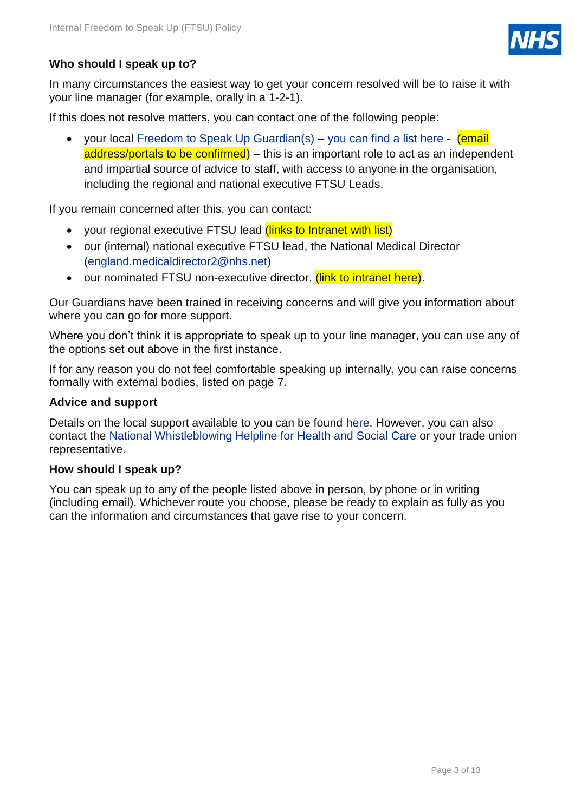

# **Who should I speak up to?**

In many circumstances the easiest way to get your concern resolved will be to raise it with your line manager (for example, orally in a 1-2-1).

If this does not resolve matters, you can contact one of the following people:

• your local [Freedom to Speak Up Guardian\(s\)](https://www.cqc.org.uk/sites/default/files/20180213_ngo_freedom_to_speak_up_guardian_jd_march2018_v5.pdf) – [you can find a list here](https://nhsengland.sharepoint.com/sites/thehub/SitePages/Freedom-to-Speak-Up-(FTSU).aspx) - (email address/portals to be confirmed) – this is an important role to act as an independent and impartial source of advice to staff, with access to anyone in the organisation, including the regional and national executive FTSU Leads.

If you remain concerned after this, you can contact:

- your regional executive FTSU lead (links to Intranet with list)
- our (internal) national executive FTSU lead, the National Medical Director [\(england.medicaldirector2@nhs.net\)](mailto:england.medicaldirector2@nhs.net)
- our nominated FTSU non-executive director, *(link to intranet here)*.

Our Guardians have been trained in receiving concerns and will give you information about where you can go for more support.

Where you don't think it is appropriate to speak up to your line manager, you can use any of the options set out above in the first instance.

If for any reason you do not feel comfortable speaking up internally, you can raise concerns formally with external bodies, listed on page 7.

#### **Advice and support**

Details on the local support available to you can be found [here.](https://nhsengland.sharepoint.com/sites/thehub/SitePages/Freedom-to-Speak-Up-(FTSU).aspx) However, you can also contact the National [Whistleblowing Helpline](http://wbhelpline.org.uk/) for Health and Social Care or your trade union representative.

#### **How should I speak up?**

You can speak up to any of the people listed above in person, by phone or in writing (including email). Whichever route you choose, please be ready to explain as fully as you can the information and circumstances that gave rise to your concern.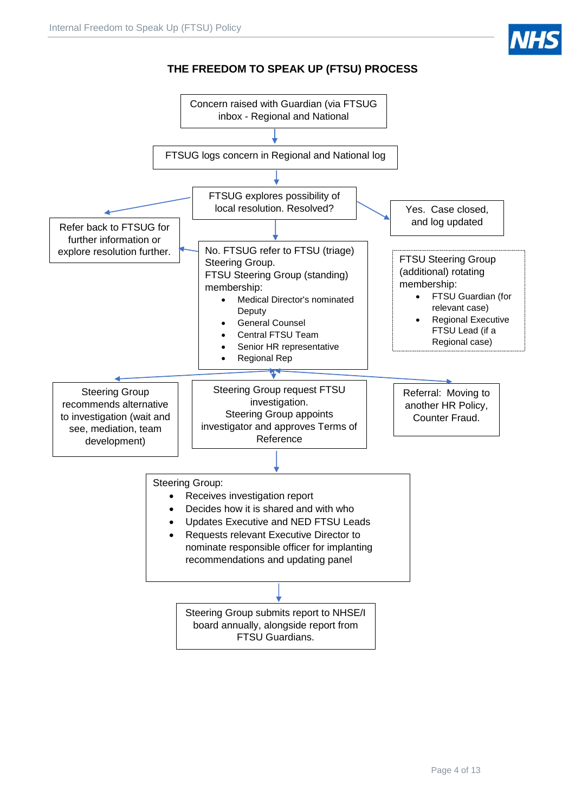

# **THE FREEDOM TO SPEAK UP (FTSU) PROCESS**

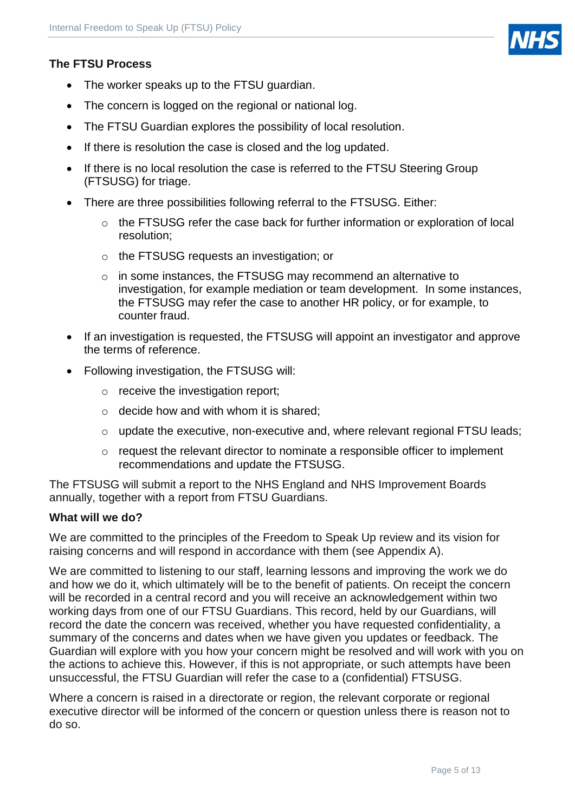# **The FTSU Process**

- The worker speaks up to the FTSU guardian.
- The concern is logged on the regional or national log.
- The FTSU Guardian explores the possibility of local resolution.
- If there is resolution the case is closed and the log updated.
- If there is no local resolution the case is referred to the FTSU Steering Group (FTSUSG) for triage.
- There are three possibilities following referral to the FTSUSG. Either:
	- o the FTSUSG refer the case back for further information or exploration of local resolution;
	- o the FTSUSG requests an investigation; or
	- o in some instances, the FTSUSG may recommend an alternative to investigation, for example mediation or team development. In some instances, the FTSUSG may refer the case to another HR policy, or for example, to counter fraud.
- If an investigation is requested, the FTSUSG will appoint an investigator and approve the terms of reference.
- Following investigation, the FTSUSG will:
	- o receive the investigation report;
	- $\circ$  decide how and with whom it is shared:
	- o update the executive, non-executive and, where relevant regional FTSU leads;
	- $\circ$  request the relevant director to nominate a responsible officer to implement recommendations and update the FTSUSG.

The FTSUSG will submit a report to the NHS England and NHS Improvement Boards annually, together with a report from FTSU Guardians.

#### **What will we do?**

We are committed to the principles of the Freedom to Speak Up review and its vision for raising concerns and will respond in accordance with them (see Appendix A).

We are committed to listening to our staff, learning lessons and improving the work we do and how we do it, which ultimately will be to the benefit of patients. On receipt the concern will be recorded in a central record and you will receive an acknowledgement within two working days from one of our FTSU Guardians. This record, held by our Guardians, will record the date the concern was received, whether you have requested confidentiality, a summary of the concerns and dates when we have given you updates or feedback. The Guardian will explore with you how your concern might be resolved and will work with you on the actions to achieve this. However, if this is not appropriate, or such attempts have been unsuccessful, the FTSU Guardian will refer the case to a (confidential) FTSUSG.

Where a concern is raised in a directorate or region, the relevant corporate or regional executive director will be informed of the concern or question unless there is reason not to do so.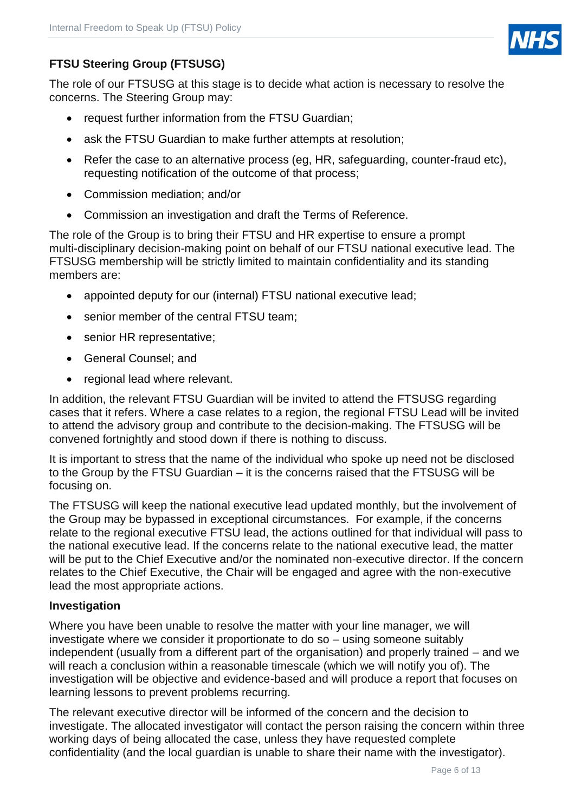

# **FTSU Steering Group (FTSUSG)**

The role of our FTSUSG at this stage is to decide what action is necessary to resolve the concerns. The Steering Group may:

- request further information from the FTSU Guardian;
- ask the FTSU Guardian to make further attempts at resolution;
- Refer the case to an alternative process (eg, HR, safeguarding, counter-fraud etc), requesting notification of the outcome of that process;
- Commission mediation; and/or
- Commission an investigation and draft the Terms of Reference.

The role of the Group is to bring their FTSU and HR expertise to ensure a prompt multi-disciplinary decision-making point on behalf of our FTSU national executive lead. The FTSUSG membership will be strictly limited to maintain confidentiality and its standing members are:

- appointed deputy for our (internal) FTSU national executive lead;
- senior member of the central FTSU team:
- senior HR representative:
- General Counsel; and
- regional lead where relevant.

In addition, the relevant FTSU Guardian will be invited to attend the FTSUSG regarding cases that it refers. Where a case relates to a region, the regional FTSU Lead will be invited to attend the advisory group and contribute to the decision-making. The FTSUSG will be convened fortnightly and stood down if there is nothing to discuss.

It is important to stress that the name of the individual who spoke up need not be disclosed to the Group by the FTSU Guardian – it is the concerns raised that the FTSUSG will be focusing on.

The FTSUSG will keep the national executive lead updated monthly, but the involvement of the Group may be bypassed in exceptional circumstances. For example, if the concerns relate to the regional executive FTSU lead, the actions outlined for that individual will pass to the national executive lead. If the concerns relate to the national executive lead, the matter will be put to the Chief Executive and/or the nominated non-executive director. If the concern relates to the Chief Executive, the Chair will be engaged and agree with the non-executive lead the most appropriate actions.

#### **Investigation**

Where you have been unable to resolve the matter with your line manager, we will investigate where we consider it proportionate to do so – using someone suitably independent (usually from a different part of the organisation) and properly trained – and we will reach a conclusion within a reasonable timescale (which we will notify you of). The investigation will be objective and evidence-based and will produce a report that focuses on learning lessons to prevent problems recurring.

The relevant executive director will be informed of the concern and the decision to investigate. The allocated investigator will contact the person raising the concern within three working days of being allocated the case, unless they have requested complete confidentiality (and the local guardian is unable to share their name with the investigator).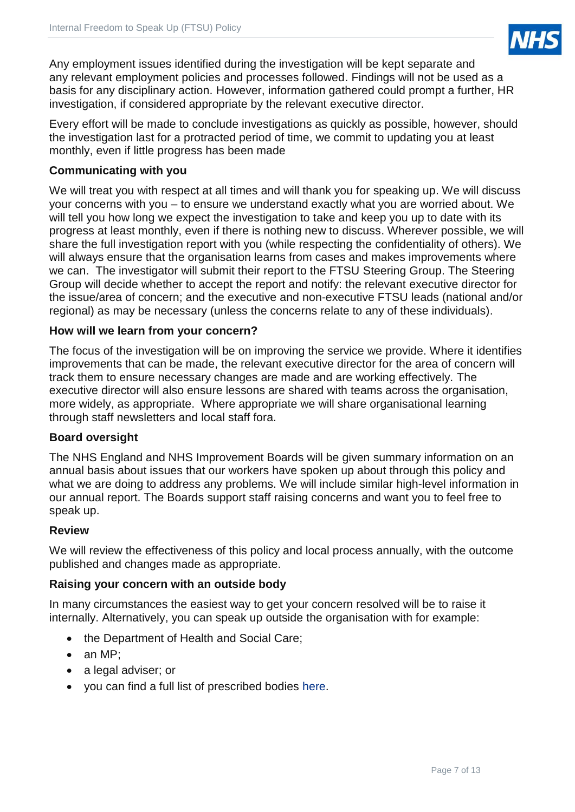

Any employment issues identified during the investigation will be kept separate and any relevant employment policies and processes followed. Findings will not be used as a basis for any disciplinary action. However, information gathered could prompt a further, HR investigation, if considered appropriate by the relevant executive director.

Every effort will be made to conclude investigations as quickly as possible, however, should the investigation last for a protracted period of time, we commit to updating you at least monthly, even if little progress has been made

# **Communicating with you**

We will treat you with respect at all times and will thank you for speaking up. We will discuss your concerns with you – to ensure we understand exactly what you are worried about. We will tell you how long we expect the investigation to take and keep you up to date with its progress at least monthly, even if there is nothing new to discuss. Wherever possible, we will share the full investigation report with you (while respecting the confidentiality of others). We will always ensure that the organisation learns from cases and makes improvements where we can. The investigator will submit their report to the FTSU Steering Group. The Steering Group will decide whether to accept the report and notify: the relevant executive director for the issue/area of concern; and the executive and non-executive FTSU leads (national and/or regional) as may be necessary (unless the concerns relate to any of these individuals).

# **How will we learn from your concern?**

The focus of the investigation will be on improving the service we provide. Where it identifies improvements that can be made, the relevant executive director for the area of concern will track them to ensure necessary changes are made and are working effectively. The executive director will also ensure lessons are shared with teams across the organisation, more widely, as appropriate. Where appropriate we will share organisational learning through staff newsletters and local staff fora.

# **Board oversight**

The NHS England and NHS Improvement Boards will be given summary information on an annual basis about issues that our workers have spoken up about through this policy and what we are doing to address any problems. We will include similar high-level information in our annual report. The Boards support staff raising concerns and want you to feel free to speak up.

#### **Review**

We will review the effectiveness of this policy and local process annually, with the outcome published and changes made as appropriate.

# **Raising your concern with an outside body**

In many circumstances the easiest way to get your concern resolved will be to raise it internally. Alternatively, you can speak up outside the organisation with for example:

- the Department of Health and Social Care:
- an MP;
- a legal adviser; or
- you can find a full list of prescribed bodies [here.](https://www.gov.uk/government/uploads/system/uploads/attachment_data/file/510962/BIS-16-79-blowing-the-whistle-to-a-prescribed-person.pdf)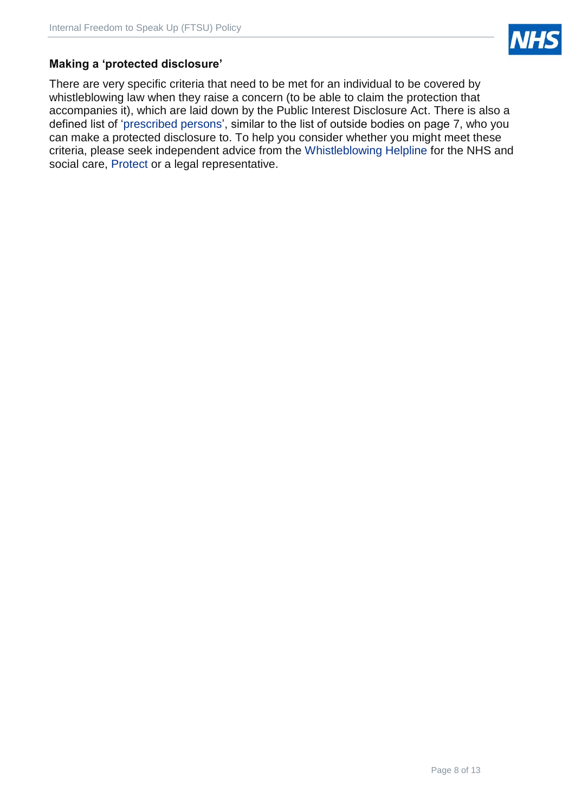

# **Making a 'protected disclosure'**

There are very specific criteria that need to be met for an individual to be covered by whistleblowing law when they raise a concern (to be able to claim the protection that accompanies it), which are laid down by the Public Interest Disclosure Act. There is also a defined list of ['prescribed persons'](https://www.gov.uk/government/uploads/system/uploads/attachment_data/file/431221/bis-15-289-blowing-the-whistle-to-a-prescribed-person-list-of-prescribed-persons-and-bodies-2.pdf), similar to the list of outside bodies on page 7, who you can make a protected disclosure to. To help you consider whether you might meet these criteria, please seek independent advice from the [Whistleblowing Helpline](http://wbhelpline.org.uk/) for the NHS and social care, [Protect](http://www.pcaw.org.uk/) or a legal representative.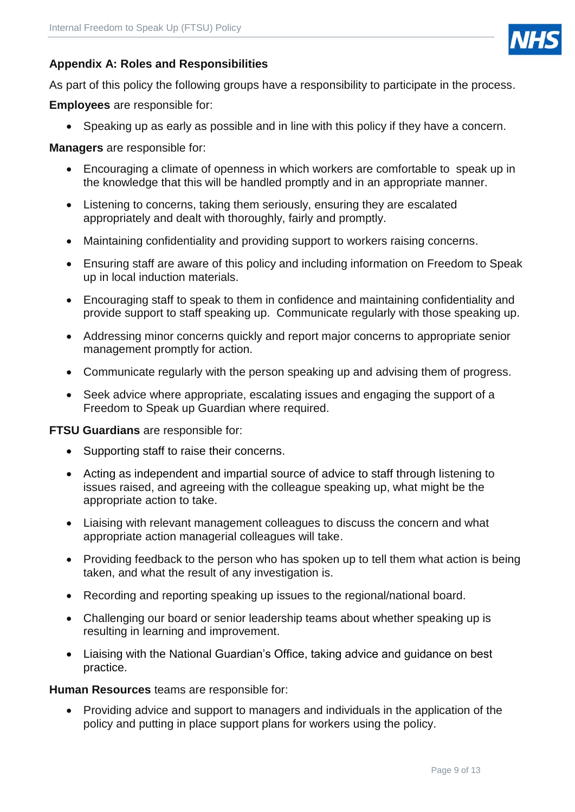

# **Appendix A: Roles and Responsibilities**

As part of this policy the following groups have a responsibility to participate in the process.

**Employees** are responsible for:

• Speaking up as early as possible and in line with this policy if they have a concern.

**Managers** are responsible for:

- Encouraging a climate of openness in which workers are comfortable to speak up in the knowledge that this will be handled promptly and in an appropriate manner.
- Listening to concerns, taking them seriously, ensuring they are escalated appropriately and dealt with thoroughly, fairly and promptly.
- Maintaining confidentiality and providing support to workers raising concerns.
- Ensuring staff are aware of this policy and including information on Freedom to Speak up in local induction materials.
- Encouraging staff to speak to them in confidence and maintaining confidentiality and provide support to staff speaking up. Communicate regularly with those speaking up.
- Addressing minor concerns quickly and report major concerns to appropriate senior management promptly for action.
- Communicate regularly with the person speaking up and advising them of progress.
- Seek advice where appropriate, escalating issues and engaging the support of a Freedom to Speak up Guardian where required.

**FTSU Guardians** are responsible for:

- Supporting staff to raise their concerns.
- Acting as independent and impartial source of advice to staff through listening to issues raised, and agreeing with the colleague speaking up, what might be the appropriate action to take.
- Liaising with relevant management colleagues to discuss the concern and what appropriate action managerial colleagues will take.
- Providing feedback to the person who has spoken up to tell them what action is being taken, and what the result of any investigation is.
- Recording and reporting speaking up issues to the regional/national board.
- Challenging our board or senior leadership teams about whether speaking up is resulting in learning and improvement.
- Liaising with the National Guardian's Office, taking advice and guidance on best practice.

**Human Resources** teams are responsible for:

• Providing advice and support to managers and individuals in the application of the policy and putting in place support plans for workers using the policy.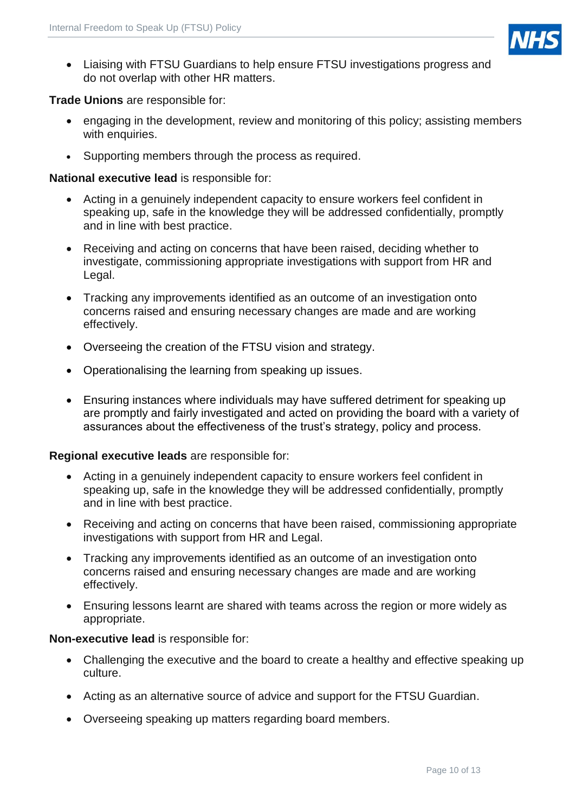

• Liaising with FTSU Guardians to help ensure FTSU investigations progress and do not overlap with other HR matters.

#### **Trade Unions** are responsible for:

- engaging in the development, review and monitoring of this policy; assisting members with enquiries.
- Supporting members through the process as required.

#### **National executive lead** is responsible for:

- Acting in a genuinely independent capacity to ensure workers feel confident in speaking up, safe in the knowledge they will be addressed confidentially, promptly and in line with best practice.
- Receiving and acting on concerns that have been raised, deciding whether to investigate, commissioning appropriate investigations with support from HR and Legal.
- Tracking any improvements identified as an outcome of an investigation onto concerns raised and ensuring necessary changes are made and are working effectively.
- Overseeing the creation of the FTSU vision and strategy.
- Operationalising the learning from speaking up issues.
- Ensuring instances where individuals may have suffered detriment for speaking up are promptly and fairly investigated and acted on providing the board with a variety of assurances about the effectiveness of the trust's strategy, policy and process.

#### **Regional executive leads** are responsible for:

- Acting in a genuinely independent capacity to ensure workers feel confident in speaking up, safe in the knowledge they will be addressed confidentially, promptly and in line with best practice.
- Receiving and acting on concerns that have been raised, commissioning appropriate investigations with support from HR and Legal.
- Tracking any improvements identified as an outcome of an investigation onto concerns raised and ensuring necessary changes are made and are working effectively.
- Ensuring lessons learnt are shared with teams across the region or more widely as appropriate.

#### **Non-executive lead** is responsible for:

- Challenging the executive and the board to create a healthy and effective speaking up culture.
- Acting as an alternative source of advice and support for the FTSU Guardian.
- Overseeing speaking up matters regarding board members.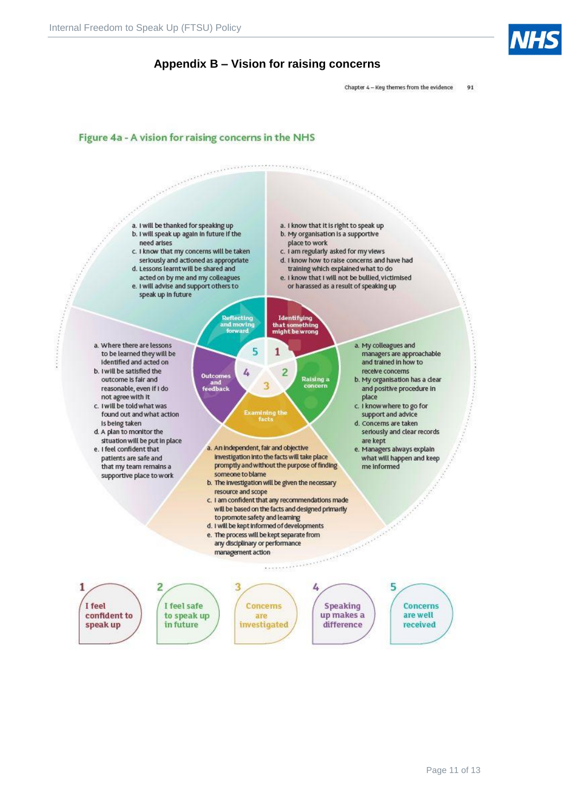



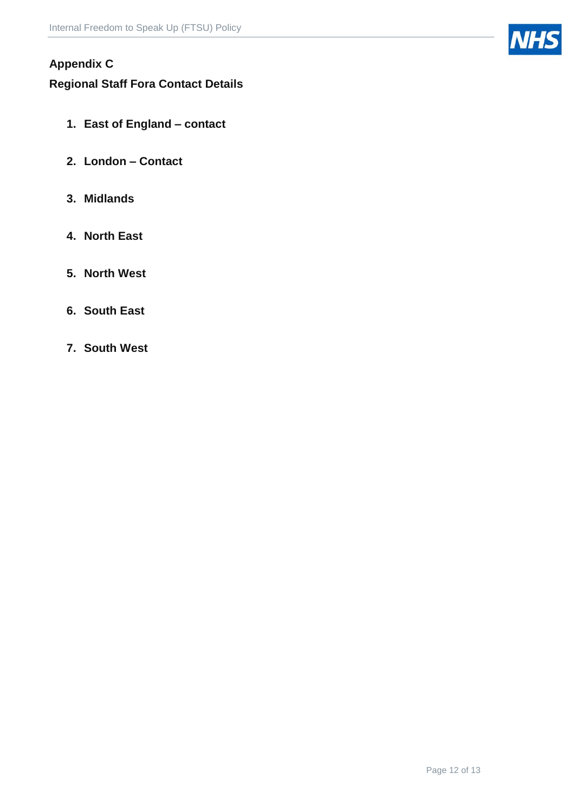# **Appendix C**

# **Regional Staff Fora Contact Details**

- **1. East of England – contact**
- **2. London – Contact**
- **3. Midlands**
- **4. North East**
- **5. North West**
- **6. South East**
- **7. South West**